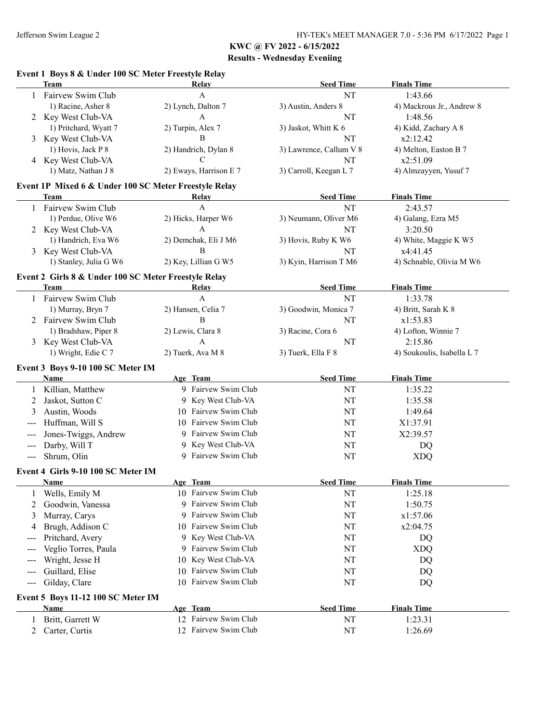## **Event 1 Boys 8 & Under 100 SC Meter Freestyle Relay**

|       | <b>Team</b>                                                         | <b>Relay</b>                                 | <b>Seed Time</b>           | <b>Finals Time</b>         |
|-------|---------------------------------------------------------------------|----------------------------------------------|----------------------------|----------------------------|
|       | Fairvew Swim Club                                                   | $\mathbf{A}$                                 | NT                         | 1:43.66                    |
|       | 1) Racine, Asher 8                                                  | 2) Lynch, Dalton 7                           | 3) Austin, Anders 8        | 4) Mackrous Jr., Andrew 8  |
| 2     | Key West Club-VA                                                    | A                                            | NT                         | 1:48.56                    |
|       | 1) Pritchard, Wyatt 7                                               | 2) Turpin, Alex 7                            | 3) Jaskot, Whitt K 6       | 4) Kidd, Zachary A 8       |
| 3     | Key West Club-VA                                                    | $\, {\bf B}$                                 | NT                         | x2:12.42                   |
|       | 1) Hovis, Jack P 8                                                  | 2) Handrich, Dylan 8                         | 3) Lawrence, Callum V 8    | 4) Melton, Easton B 7      |
|       | 4 Key West Club-VA                                                  | C                                            | NT                         | x2:51.09                   |
|       | 1) Matz, Nathan J 8                                                 | 2) Eways, Harrison E 7                       | 3) Carroll, Keegan L 7     | 4) Almzayyen, Yusuf 7      |
|       | Event 1P Mixed 6 & Under 100 SC Meter Freestyle Relay               |                                              |                            |                            |
|       | Team                                                                | Relay                                        | <b>Seed Time</b>           | <b>Finals Time</b>         |
|       | Fairvew Swim Club                                                   | A                                            | NT                         | 2:43.57                    |
|       | 1) Perdue, Olive W6                                                 | 2) Hicks, Harper W6                          | 3) Neumann, Oliver M6      | 4) Galang, Ezra M5         |
| 2     | Key West Club-VA                                                    | A                                            | NT                         | 3:20.50                    |
|       | 1) Handrich, Eva W6                                                 | 2) Demchak, Eli J M6                         | 3) Hovis, Ruby K W6        | 4) White, Maggie K W5      |
| 3     | Key West Club-VA                                                    | B                                            | NT                         | x4:41.45                   |
|       | 1) Stanley, Julia G W6                                              | 2) Key, Lillian G W5                         | 3) Kyin, Harrison T M6     | 4) Schnable, Olivia M W6   |
|       |                                                                     |                                              |                            |                            |
|       | Event 2 Girls 8 & Under 100 SC Meter Freestyle Relay<br><b>Team</b> |                                              | <b>Seed Time</b>           | <b>Finals Time</b>         |
|       | 1 Fairvew Swim Club                                                 | Relay<br>A                                   | NT                         | 1:33.78                    |
|       | 1) Murray, Bryn 7                                                   | 2) Hansen, Celia 7                           |                            |                            |
|       | Fairvew Swim Club                                                   | $\, {\bf B}$                                 | 3) Goodwin, Monica 7<br>NT | 4) Britt, Sarah K 8        |
| 2     |                                                                     |                                              |                            | x1:53.83                   |
|       | 1) Bradshaw, Piper 8                                                | 2) Lewis, Clara 8                            | 3) Racine, Cora 6          | 4) Lofton, Winnie 7        |
| 3     | Key West Club-VA                                                    | A                                            | NT                         | 2:15.86                    |
|       | 1) Wright, Edie C 7                                                 | 2) Tuerk, Ava M 8                            | 3) Tuerk, Ella F 8         | 4) Soukoulis, Isabella L 7 |
|       | Event 3 Boys 9-10 100 SC Meter IM                                   |                                              |                            |                            |
|       | Name                                                                | Age Team                                     | <b>Seed Time</b>           | <b>Finals Time</b>         |
|       |                                                                     |                                              | NT                         | 1:35.22                    |
|       | Killian, Matthew                                                    | 9 Fairvew Swim Club                          |                            |                            |
| 2     | Jaskot, Sutton C                                                    | 9 Key West Club-VA                           | NT                         | 1:35.58                    |
| 3     | Austin, Woods                                                       | 10 Fairvew Swim Club                         | NT                         | 1:49.64                    |
| $---$ | Huffman, Will S                                                     | 10 Fairvew Swim Club                         | NT                         | X1:37.91                   |
| ---   | Jones-Twiggs, Andrew                                                | 9 Fairvew Swim Club                          | NT                         | X2:39.57                   |
| ---   | Darby, Will T                                                       | 9 Key West Club-VA                           | NT                         | DQ                         |
| $---$ | Shrum, Olin                                                         | 9 Fairvew Swim Club                          | NT                         | <b>XDQ</b>                 |
|       |                                                                     |                                              |                            |                            |
|       | Event 4 Girls 9-10 100 SC Meter IM<br>Name                          |                                              | <b>Seed Time</b>           |                            |
|       |                                                                     | Age Team<br>10 Fairvew Swim Club             |                            | <b>Finals Time</b>         |
|       | Wells, Emily M                                                      | 9 Fairvew Swim Club                          | NT                         | 1:25.18                    |
| 2     | Goodwin, Vanessa                                                    |                                              | NT                         | 1:50.75                    |
| 3     | Murray, Carys                                                       | 9 Fairvew Swim Club                          | NT                         | x1:57.06                   |
| 4     | Brugh, Addison C                                                    | 10 Fairvew Swim Club                         | NT                         | x2:04.75                   |
|       | Pritchard, Avery                                                    | 9 Key West Club-VA                           | NT                         | DQ                         |
| ---   | Veglio Torres, Paula                                                | Fairvew Swim Club<br>9.                      | NT                         | <b>XDQ</b>                 |
| ---   | Wright, Jesse H                                                     | 10 Key West Club-VA                          | NT                         | DQ                         |
| $---$ | Guillard, Elise                                                     | Fairvew Swim Club<br>10                      | NT                         | DQ                         |
| $---$ | Gilday, Clare                                                       | 10 Fairvew Swim Club                         | NT                         | DQ                         |
|       | Event 5 Boys 11-12 100 SC Meter IM                                  |                                              |                            |                            |
|       | <b>Name</b>                                                         | Age Team                                     | <b>Seed Time</b>           | <b>Finals Time</b>         |
| 1     | Britt, Garrett W<br>Carter, Curtis                                  | 12 Fairvew Swim Club<br>12 Fairvew Swim Club | NT<br>NT                   | 1:23.31<br>1:26.69         |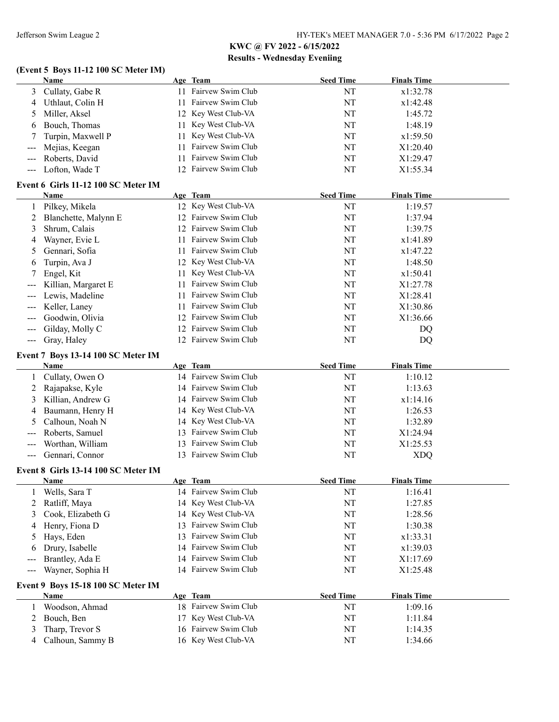#### **(Event 5 Boys 11-12 100 SC Meter IM)**

|                                          | Name                                |     | Age Team             | <b>Seed Time</b> | <b>Finals Time</b> |
|------------------------------------------|-------------------------------------|-----|----------------------|------------------|--------------------|
| 3                                        | Cullaty, Gabe R                     |     | 11 Fairvew Swim Club | NT               | x1:32.78           |
| 4                                        | Uthlaut, Colin H                    | 11  | Fairvew Swim Club    | NT               | x1:42.48           |
| 5                                        | Miller, Aksel                       |     | 12 Key West Club-VA  | NT               | 1:45.72            |
| 6                                        | Bouch, Thomas                       | 11  | Key West Club-VA     | NT               | 1:48.19            |
|                                          | Turpin, Maxwell P                   | 11  | Key West Club-VA     | NT               | x1:59.50           |
| $---$                                    | Mejias, Keegan                      | 11  | Fairvew Swim Club    | NT               | X1:20.40           |
| $---$                                    | Roberts, David                      | 11  | Fairvew Swim Club    | NT               | X1:29.47           |
| $---$                                    | Lofton, Wade T                      |     | 12 Fairvew Swim Club | NT               | X1:55.34           |
|                                          | Event 6 Girls 11-12 100 SC Meter IM |     |                      |                  |                    |
|                                          | Name                                |     | Age Team             | <b>Seed Time</b> | <b>Finals Time</b> |
|                                          | Pilkey, Mikela                      |     | 12 Key West Club-VA  | NT               | 1:19.57            |
| 2                                        | Blanchette, Malynn E                |     | 12 Fairvew Swim Club | NT               | 1:37.94            |
| 3                                        | Shrum, Calais                       |     | 12 Fairvew Swim Club | NT               | 1:39.75            |
| 4                                        | Wayner, Evie L                      | 11. | Fairvew Swim Club    | NT               | x1:41.89           |
| 5                                        | Gennari, Sofia                      | 11. | Fairvew Swim Club    | NT               | x1:47.22           |
| 6                                        | Turpin, Ava J                       |     | 12 Key West Club-VA  | NT               | 1:48.50            |
|                                          | Engel, Kit                          |     | 11 Key West Club-VA  | NT               | x1:50.41           |
|                                          | Killian, Margaret E                 | 11  | Fairvew Swim Club    | NT               | X1:27.78           |
|                                          | Lewis, Madeline                     | 11  | Fairvew Swim Club    | NT               | X1:28.41           |
|                                          | Keller, Laney                       | 11  | Fairvew Swim Club    | NT               | X1:30.86           |
|                                          | Goodwin, Olivia                     |     | 12 Fairvew Swim Club | NT               | X1:36.66           |
| $---$                                    | Gilday, Molly C                     |     | 12 Fairvew Swim Club | NT               | DQ                 |
| $\hspace{0.05cm} \ldots \hspace{0.05cm}$ | Gray, Haley                         |     | 12 Fairvew Swim Club | NT               | DQ                 |
|                                          |                                     |     |                      |                  |                    |
|                                          | Event 7 Boys 13-14 100 SC Meter IM  |     |                      |                  |                    |
|                                          | Name                                |     | Age Team             | <b>Seed Time</b> | <b>Finals Time</b> |
|                                          | Cullaty, Owen O                     |     | 14 Fairvew Swim Club | NT               | 1:10.12            |
| 2                                        | Rajapakse, Kyle                     |     | 14 Fairvew Swim Club | NT               | 1:13.63            |
| 3                                        | Killian, Andrew G                   |     | 14 Fairvew Swim Club | NT               | x1:14.16           |
| 4                                        | Baumann, Henry H                    |     | 14 Key West Club-VA  | NT               | 1:26.53            |
| 5                                        | Calhoun, Noah N                     |     | 14 Key West Club-VA  | NT               | 1:32.89            |
|                                          | Roberts, Samuel                     |     | 13 Fairvew Swim Club | NT               | X1:24.94           |
| $---$                                    | Worthan, William                    |     | 13 Fairvew Swim Club | NT               | X1:25.53           |
| $---$                                    | Gennari, Connor                     |     | 13 Fairvew Swim Club | NT               | <b>XDQ</b>         |
|                                          | Event 8 Girls 13-14 100 SC Meter IM |     |                      |                  |                    |
|                                          | <u>Name</u>                         |     | Age Team             | <b>Seed Time</b> | <b>Finals Time</b> |
|                                          | Wells, Sara T                       |     | 14 Fairvew Swim Club | NT               | 1:16.41            |
| 2                                        | Ratliff, Maya                       |     | 14 Key West Club-VA  | NT               | 1:27.85            |
| 3                                        | Cook, Elizabeth G                   |     | 14 Key West Club-VA  | NT               | 1:28.56            |
| 4                                        | Henry, Fiona D                      |     | 13 Fairvew Swim Club | NT               | 1:30.38            |
| 5                                        | Hays, Eden                          | 13  | Fairvew Swim Club    | NT               | x1:33.31           |
| b                                        | Drury, Isabelle                     |     | 14 Fairvew Swim Club | NT               | x1:39.03           |
|                                          | Brantley, Ada E                     |     | 14 Fairvew Swim Club | NT               | X1:17.69           |
| $\hspace{0.05cm} \ldots \hspace{0.05cm}$ | Wayner, Sophia H                    |     | 14 Fairvew Swim Club | NT               | X1:25.48           |
|                                          | Event 9 Boys 15-18 100 SC Meter IM  |     |                      |                  |                    |
|                                          | <b>Name</b>                         |     | Age Team             | <b>Seed Time</b> | <b>Finals Time</b> |
| 1                                        | Woodson, Ahmad                      |     | 18 Fairvew Swim Club | NT               | 1:09.16            |
| 2                                        | Bouch, Ben                          |     | 17 Key West Club-VA  | NT               | 1:11.84            |
| 3                                        | Tharp, Trevor S                     |     | 16 Fairvew Swim Club | NT               | 1:14.35            |
|                                          |                                     |     |                      |                  |                    |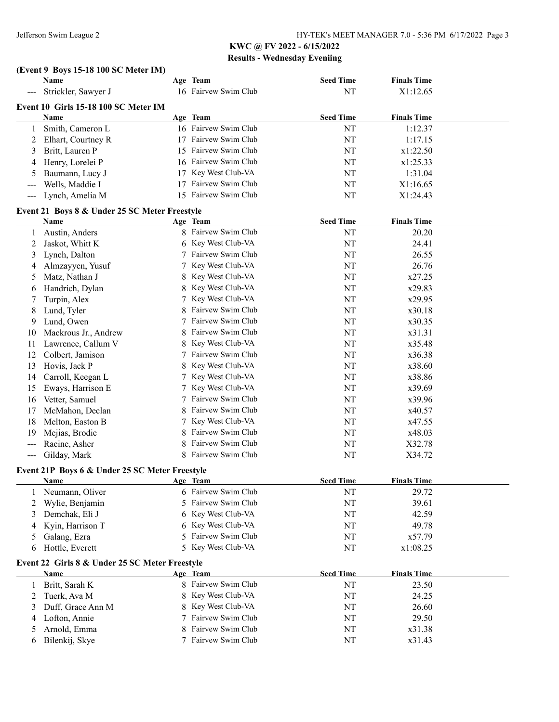# **(Event 9 Boys 15-18 100 SC Meter IM)**

|                                      | Name                                           |        | Age Team                        | <b>Seed Time</b> | <b>Finals Time</b> |  |  |
|--------------------------------------|------------------------------------------------|--------|---------------------------------|------------------|--------------------|--|--|
|                                      | Strickler, Sawyer J                            |        | 16 Fairvew Swim Club            | NT               | X1:12.65           |  |  |
| Event 10 Girls 15-18 100 SC Meter IM |                                                |        |                                 |                  |                    |  |  |
|                                      | Name                                           |        | Age Team                        | <b>Seed Time</b> | <b>Finals Time</b> |  |  |
| 1                                    | Smith, Cameron L                               |        | 16 Fairvew Swim Club            | NT               | 1:12.37            |  |  |
| 2                                    | Elhart, Courtney R                             |        | 17 Fairvew Swim Club            | NT               | 1:17.15            |  |  |
| 3                                    | Britt, Lauren P                                |        | 15 Fairvew Swim Club            | NT               | x1:22.50           |  |  |
| 4                                    | Henry, Lorelei P                               |        | 16 Fairvew Swim Club            | NT               | x1:25.33           |  |  |
| 5                                    | Baumann, Lucy J                                |        | 17 Key West Club-VA             | NT               | 1:31.04            |  |  |
| ---                                  | Wells, Maddie I                                | 17     | Fairvew Swim Club               | NT               | X1:16.65           |  |  |
| ---                                  | Lynch, Amelia M                                |        | 15 Fairvew Swim Club            | NT               | X1:24.43           |  |  |
|                                      | Event 21 Boys 8 & Under 25 SC Meter Freestyle  |        |                                 |                  |                    |  |  |
|                                      | Name                                           |        | Age Team                        | <b>Seed Time</b> | <b>Finals Time</b> |  |  |
| 1                                    | Austin, Anders                                 |        | 8 Fairvew Swim Club             | NT               | 20.20              |  |  |
| 2                                    | Jaskot, Whitt K                                |        | 6 Key West Club-VA              | NT               | 24.41              |  |  |
| 3                                    | Lynch, Dalton                                  |        | 7 Fairvew Swim Club             | NT               | 26.55              |  |  |
| 4                                    | Almzayyen, Yusuf                               | 7      | Key West Club-VA                | NT               | 26.76              |  |  |
| 5                                    | Matz, Nathan J                                 | 8      | Key West Club-VA                | NT               | x27.25             |  |  |
| 6                                    | Handrich, Dylan                                | 8      | Key West Club-VA                | NT               | x29.83             |  |  |
| 7                                    | Turpin, Alex                                   |        | Key West Club-VA                | NT               | x29.95             |  |  |
| 8                                    | Lund, Tyler                                    | 8      | Fairvew Swim Club               | NT               | x30.18             |  |  |
| 9                                    | Lund, Owen                                     |        | Fairvew Swim Club               | NT               | x30.35             |  |  |
| 10                                   | Mackrous Jr., Andrew                           | 8      | Fairvew Swim Club               | NT               | x31.31             |  |  |
| 11                                   | Lawrence, Callum V                             | 8      | Key West Club-VA                | NT               | x35.48             |  |  |
| 12                                   | Colbert, Jamison                               |        | Fairvew Swim Club               | NT               | x36.38             |  |  |
| 13                                   | Hovis, Jack P                                  | 8      | Key West Club-VA                | NT               | x38.60             |  |  |
| 14                                   | Carroll, Keegan L                              |        | Key West Club-VA                | NT               | x38.86             |  |  |
| 15                                   | Eways, Harrison E                              |        | Key West Club-VA                | NT               | x39.69             |  |  |
| 16                                   | Vetter, Samuel                                 |        | Fairvew Swim Club               | NT               | x39.96             |  |  |
| 17                                   | McMahon, Declan                                |        | Fairvew Swim Club               | NT               | x40.57             |  |  |
| 18                                   | Melton, Easton B                               |        | Key West Club-VA                | NT               | x47.55             |  |  |
| 19                                   | Mejias, Brodie                                 |        | Fairvew Swim Club               | NT               | x48.03             |  |  |
| ---                                  | Racine, Asher                                  | 8      | Fairvew Swim Club               | NT               | X32.78             |  |  |
| $---$                                | Gilday, Mark                                   | 8      | Fairvew Swim Club               | NT               | X34.72             |  |  |
|                                      | Event 21P Boys 6 & Under 25 SC Meter Freestyle |        |                                 |                  |                    |  |  |
|                                      | Name                                           |        | Age Team                        | <b>Seed Time</b> | <b>Finals Time</b> |  |  |
| 1                                    | Neumann, Oliver                                | 6      | Fairvew Swim Club               | NT               | 29.72              |  |  |
| 2                                    | Wylie, Benjamin                                | 5      | Fairvew Swim Club               | NT               | 39.61              |  |  |
| 3                                    | Demchak, Eli J                                 | 6      | Key West Club-VA                | NT               | 42.59              |  |  |
| 4                                    | Kyin, Harrison T                               | 6      | Key West Club-VA                | NT               | 49.78              |  |  |
| 5                                    | Galang, Ezra                                   | 5      | Fairvew Swim Club               | NT               | x57.79             |  |  |
| 6                                    | Hottle, Everett                                | 5      | Key West Club-VA                | NT               | x1:08.25           |  |  |
|                                      |                                                |        |                                 |                  |                    |  |  |
|                                      | Event 22 Girls 8 & Under 25 SC Meter Freestyle |        |                                 |                  |                    |  |  |
|                                      | <b>Name</b>                                    |        | Age Team<br>8 Fairvew Swim Club | <b>Seed Time</b> | <b>Finals Time</b> |  |  |
| 1                                    | Britt, Sarah K                                 | 8      | Key West Club-VA                | NT               | 23.50              |  |  |
| 2                                    | Tuerk, Ava M                                   |        | Key West Club-VA                | NT               | 24.25              |  |  |
| 3                                    | Duff, Grace Ann M                              | 8<br>7 | Fairvew Swim Club               | NT               | 26.60              |  |  |
| 4                                    | Lofton, Annie                                  | 8      | Fairvew Swim Club               | NT               | 29.50              |  |  |
| 5                                    | Arnold, Emma                                   |        | 7 Fairvew Swim Club             | NT               | x31.38             |  |  |
| 6                                    | Bilenkij, Skye                                 |        |                                 | NT               | x31.43             |  |  |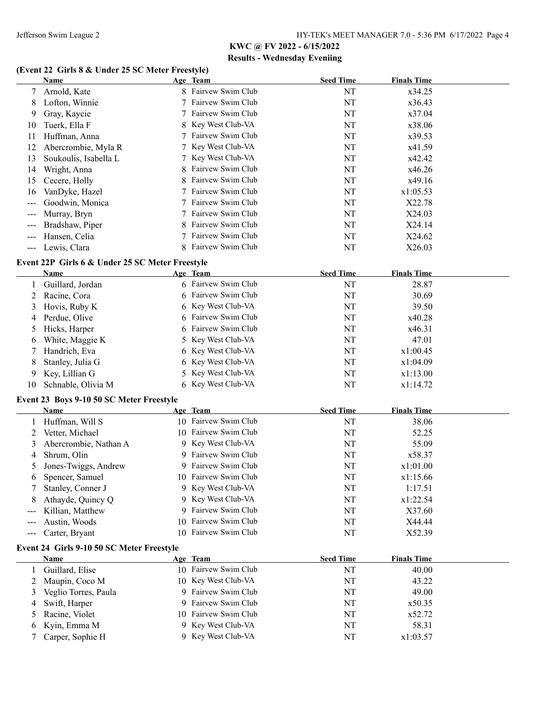#### **(Event 22 Girls 8 & Under 25 SC Meter Freestyle)**

|                   | (Event 22) Girls o & Under 25 SC Meter Preestyle) |    |                      |                  |                    |  |
|-------------------|---------------------------------------------------|----|----------------------|------------------|--------------------|--|
|                   | Name                                              |    | Age Team             | <b>Seed Time</b> | <b>Finals Time</b> |  |
| 7                 | Arnold, Kate                                      |    | 8 Fairvew Swim Club  | NT               | x34.25             |  |
| 8                 | Lofton, Winnie                                    |    | 7 Fairvew Swim Club  | NT               | x36.43             |  |
| 9                 | Gray, Kaycie                                      |    | 7 Fairvew Swim Club  | NT               | x37.04             |  |
| 10                | Tuerk, Ella F                                     |    | 8 Key West Club-VA   | NT               | x38.06             |  |
| 11                | Huffman, Anna                                     |    | 7 Fairvew Swim Club  | NT               | x39.53             |  |
| 12                | Abercrombie, Myla R                               |    | 7 Key West Club-VA   | NT               | x41.59             |  |
| 13                | Soukoulis, Isabella L                             |    | 7 Key West Club-VA   | NT               | x42.42             |  |
| 14                | Wright, Anna                                      | 8  | Fairvew Swim Club    | NT               | x46.26             |  |
| 15                | Cecere, Holly                                     | 8  | Fairvew Swim Club    | NT               | x49.16             |  |
| 16                | VanDyke, Hazel                                    |    | 7 Fairvew Swim Club  | NT               | x1:05.53           |  |
| $---$             | Goodwin, Monica                                   |    | 7 Fairvew Swim Club  | NT               | X22.78             |  |
| $---$             | Murray, Bryn                                      |    | 7 Fairvew Swim Club  | NT               | X24.03             |  |
|                   | Bradshaw, Piper                                   | 8  | Fairvew Swim Club    | NT               | X24.14             |  |
|                   | Hansen, Celia                                     |    | 7 Fairvew Swim Club  | NT               | X24.62             |  |
| $---$             | Lewis, Clara                                      |    | 8 Fairvew Swim Club  | NT               | X26.03             |  |
|                   |                                                   |    |                      |                  |                    |  |
|                   | Event 22P Girls 6 & Under 25 SC Meter Freestyle   |    |                      |                  |                    |  |
|                   | <b>Name</b>                                       |    | Age Team             | <b>Seed Time</b> | <b>Finals Time</b> |  |
| 1                 | Guillard, Jordan                                  |    | 6 Fairvew Swim Club  | NT               | 28.87              |  |
| 2                 | Racine, Cora                                      |    | Fairvew Swim Club    | NT               | 30.69              |  |
| 3                 | Hovis, Ruby K                                     |    | 6 Key West Club-VA   | NT               | 39.50              |  |
| 4                 | Perdue, Olive                                     |    | Fairvew Swim Club    | NT               | x40.28             |  |
| 5                 | Hicks, Harper                                     |    | Fairvew Swim Club    | NT               | x46.31             |  |
| 6                 | White, Maggie K                                   | 5. | Key West Club-VA     | NT               | 47.01              |  |
| 7                 | Handrich, Eva                                     | 6  | Key West Club-VA     | NT               | x1:00.45           |  |
| 8                 | Stanley, Julia G                                  | 6  | Key West Club-VA     | NT               | x1:04.09           |  |
| 9                 | Key, Lillian G                                    |    | 5 Key West Club-VA   | NT               | x1:13.00           |  |
| 10                | Schnable, Olivia M                                |    | 6 Key West Club-VA   | NT               | x1:14.72           |  |
|                   | Event 23 Boys 9-10 50 SC Meter Freestyle          |    |                      |                  |                    |  |
|                   | Name                                              |    | Age Team             | <b>Seed Time</b> | <b>Finals Time</b> |  |
| 1                 | Huffman, Will S                                   |    | 10 Fairvew Swim Club | NT               | 38.06              |  |
|                   | Vetter, Michael                                   |    | 10 Fairvew Swim Club | NT               | 52.25              |  |
| 2                 |                                                   |    | 9 Key West Club-VA   | NT               | 55.09              |  |
| 3                 | Abercrombie, Nathan A                             |    | 9 Fairvew Swim Club  |                  |                    |  |
| 4                 | Shrum, Olin                                       |    | 9 Fairvew Swim Club  | NT               | x58.37             |  |
| 5                 | Jones-Twiggs, Andrew                              |    |                      | NT               | x1:01.00           |  |
| 6                 | Spencer, Samuel                                   |    | 10 Fairvew Swim Club | NT               | x1:15.66           |  |
|                   | Stanley, Conner J                                 |    | 9 Key West Club-VA   | NT               | 1:17.51            |  |
| 8                 | Athayde, Quincy Q                                 |    | 9 Key West Club-VA   | NT               | x1:22.54           |  |
| $---$             | Killian, Matthew                                  | 9. | Fairvew Swim Club    | NT               | X37.60             |  |
| ---               | Austin, Woods                                     |    | 10 Fairvew Swim Club | NT               | X44.44             |  |
| $\qquad \qquad -$ | Carter, Bryant                                    | 10 | Fairvew Swim Club    | NT               | X52.39             |  |
|                   | Event 24 Girls 9-10 50 SC Meter Freestyle         |    |                      |                  |                    |  |
|                   | Name                                              |    | Age Team             | <b>Seed Time</b> | <b>Finals Time</b> |  |
| 1                 | Guillard, Elise                                   |    | 10 Fairvew Swim Club | NT               | 40.00              |  |
| 2                 | Maupin, Coco M                                    |    | 10 Key West Club-VA  | NT               | 43.22              |  |
| 3                 | Veglio Torres, Paula                              |    | 9 Fairvew Swim Club  | NT               | 49.00              |  |
| 4                 | Swift, Harper                                     | 9. | Fairvew Swim Club    | NT               | x50.35             |  |
| 5                 | Racine, Violet                                    |    | 10 Fairvew Swim Club | NT               | x52.72             |  |
| 6                 | Kyin, Emma M                                      |    | 9 Key West Club-VA   | NT               | 58.31              |  |
| 7                 | Carper, Sophie H                                  |    | 9 Key West Club-VA   | NT               | x1:03.57           |  |
|                   |                                                   |    |                      |                  |                    |  |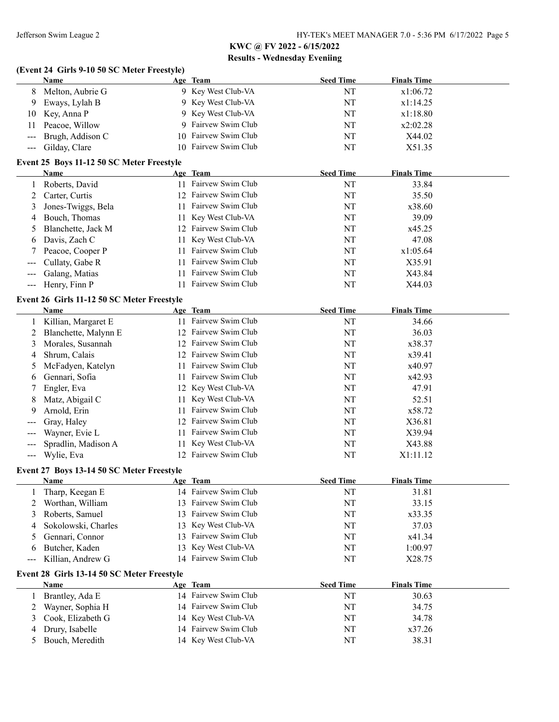|                                           | (Event 24 Girls 9-10 50 SC Meter Freestyle) |    |                      |                  |                    |  |
|-------------------------------------------|---------------------------------------------|----|----------------------|------------------|--------------------|--|
|                                           | Name                                        |    | Age Team             | <b>Seed Time</b> | <b>Finals Time</b> |  |
| 8                                         | Melton, Aubrie G                            |    | 9 Key West Club-VA   | NT               | x1:06.72           |  |
| 9                                         | Eways, Lylah B                              |    | 9 Key West Club-VA   | NT               | x1:14.25           |  |
| 10                                        | Key, Anna P                                 |    | 9 Key West Club-VA   | NT               | x1:18.80           |  |
| 11                                        | Peacoe, Willow                              |    | 9 Fairvew Swim Club  | NT               | x2:02.28           |  |
| $---$                                     | Brugh, Addison C                            |    | 10 Fairvew Swim Club | NT               | X44.02             |  |
| $\qquad \qquad - \qquad -$                | Gilday, Clare                               |    | 10 Fairvew Swim Club | NT               | X51.35             |  |
|                                           | Event 25 Boys 11-12 50 SC Meter Freestyle   |    |                      |                  |                    |  |
|                                           | Name                                        |    | Age Team             | <b>Seed Time</b> | <b>Finals Time</b> |  |
| 1                                         | Roberts, David                              |    | 11 Fairvew Swim Club | NT               | 33.84              |  |
| 2                                         | Carter, Curtis                              |    | 12 Fairvew Swim Club | NT               | 35.50              |  |
| 3                                         | Jones-Twiggs, Bela                          |    | 11 Fairvew Swim Club | NT               | x38.60             |  |
| 4                                         | Bouch, Thomas                               |    | 11 Key West Club-VA  | NT               | 39.09              |  |
| 5                                         | Blanchette, Jack M                          |    | 12 Fairvew Swim Club | NT               | x45.25             |  |
| 6                                         | Davis, Zach C                               |    | 11 Key West Club-VA  | NT               | 47.08              |  |
| 7                                         | Peacoe, Cooper P                            |    | 11 Fairvew Swim Club | NT               | x1:05.64           |  |
| $---$                                     | Cullaty, Gabe R                             |    | 11 Fairvew Swim Club | NT               | X35.91             |  |
| $\qquad \qquad \textbf{---} \textbf{---}$ | Galang, Matias                              |    | 11 Fairvew Swim Club | NT               | X43.84             |  |
| $\qquad \qquad - \qquad -$                | Henry, Finn P                               |    | 11 Fairvew Swim Club | NT               | X44.03             |  |
|                                           | Event 26 Girls 11-12 50 SC Meter Freestyle  |    |                      |                  |                    |  |
|                                           | Name                                        |    | Age Team             | <b>Seed Time</b> | <b>Finals Time</b> |  |
| 1                                         | Killian, Margaret E                         |    | 11 Fairvew Swim Club | NT               | 34.66              |  |
| 2                                         | Blanchette, Malynn E                        |    | 12 Fairvew Swim Club | NT               | 36.03              |  |
| 3                                         | Morales, Susannah                           |    | 12 Fairvew Swim Club | NT               | x38.37             |  |
| 4                                         | Shrum, Calais                               |    | 12 Fairvew Swim Club | NT               | x39.41             |  |
| 5                                         | McFadyen, Katelyn                           | 11 | Fairvew Swim Club    | NT               | x40.97             |  |
| 6                                         | Gennari, Sofia                              |    | 11 Fairvew Swim Club | NT               | x42.93             |  |
| 7                                         | Engler, Eva                                 |    | 12 Key West Club-VA  | NT               | 47.91              |  |
| 8                                         | Matz, Abigail C                             |    | 11 Key West Club-VA  | NT               | 52.51              |  |
| 9                                         | Arnold, Erin                                | 11 | Fairvew Swim Club    | NT               | x58.72             |  |
|                                           | Gray, Haley                                 |    | 12 Fairvew Swim Club | NT               | X36.81             |  |
| $---$                                     | Wayner, Evie L                              | 11 | Fairvew Swim Club    | NT               | X39.94             |  |
| $---$                                     | Spradlin, Madison A                         | 11 | Key West Club-VA     | NT               | X43.88             |  |
| $---$                                     | Wylie, Eva                                  |    | 12 Fairvew Swim Club | NT               | X1:11.12           |  |
|                                           | Event 27 Boys 13-14 50 SC Meter Freestyle   |    |                      |                  |                    |  |
|                                           | <b>Name</b>                                 |    | Age Team             | <b>Seed Time</b> | <b>Finals Time</b> |  |
|                                           | Tharp, Keegan E                             |    | 14 Fairvew Swim Club | NT               | 31.81              |  |
| 2                                         | Worthan, William                            |    | 13 Fairvew Swim Club | NT               | 33.15              |  |
| 3                                         | Roberts, Samuel                             |    | 13 Fairvew Swim Club | NT               | x33.35             |  |
| 4                                         | Sokolowski, Charles                         |    | 13 Key West Club-VA  | NT               | 37.03              |  |
| 5                                         | Gennari, Connor                             | 13 | Fairvew Swim Club    | NT               | x41.34             |  |
| 6                                         | Butcher, Kaden                              | 13 | Key West Club-VA     | NT               | 1:00.97            |  |
| $\qquad \qquad -$                         | Killian, Andrew G                           |    | 14 Fairvew Swim Club | NT               | X28.75             |  |
|                                           | Event 28 Girls 13-14 50 SC Meter Freestyle  |    |                      |                  |                    |  |
|                                           | Name                                        |    | Age Team             | <b>Seed Time</b> | <b>Finals Time</b> |  |
| 1                                         | Brantley, Ada E                             |    | 14 Fairvew Swim Club | NT               | 30.63              |  |
| 2                                         | Wayner, Sophia H                            |    | 14 Fairvew Swim Club | NT               | 34.75              |  |
| 3                                         | Cook, Elizabeth G                           |    | 14 Key West Club-VA  | NT               | 34.78              |  |
| 4                                         | Drury, Isabelle                             |    | 14 Fairvew Swim Club | NT               | x37.26             |  |
| 5                                         | Bouch, Meredith                             |    | 14 Key West Club-VA  | NT               | 38.31              |  |
|                                           |                                             |    |                      |                  |                    |  |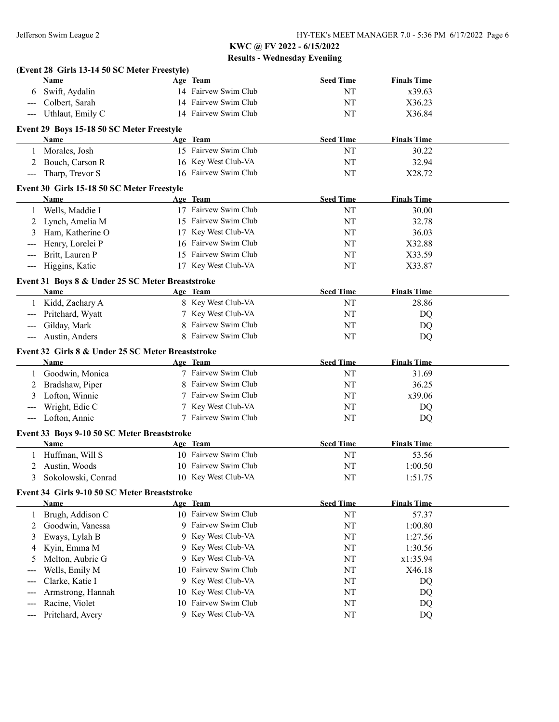|                                          | (Event 28 Girls 13-14 50 SC Meter Freestyle)      |                                            |                  |                    |  |
|------------------------------------------|---------------------------------------------------|--------------------------------------------|------------------|--------------------|--|
|                                          | Name                                              | Age Team                                   | <b>Seed Time</b> | <b>Finals Time</b> |  |
|                                          | 6 Swift, Aydalin                                  | 14 Fairvew Swim Club                       | NT               | x39.63             |  |
| $---$                                    | Colbert, Sarah                                    | 14 Fairvew Swim Club                       | NT               | X36.23             |  |
| $\hspace{0.05cm} \ldots \hspace{0.05cm}$ | Uthlaut, Emily C                                  | 14 Fairvew Swim Club                       | NT               | X36.84             |  |
|                                          | Event 29 Boys 15-18 50 SC Meter Freestyle         |                                            |                  |                    |  |
|                                          | Name                                              | Age Team                                   | <b>Seed Time</b> | <b>Finals Time</b> |  |
|                                          | 1 Morales, Josh                                   | 15 Fairvew Swim Club                       | NT               | 30.22              |  |
|                                          | 2 Bouch, Carson R                                 | 16 Key West Club-VA                        | NT               | 32.94              |  |
| $\qquad \qquad \text{---}$               | Tharp, Trevor S                                   | 16 Fairvew Swim Club                       | NT               | X28.72             |  |
|                                          | Event 30 Girls 15-18 50 SC Meter Freestyle        |                                            |                  |                    |  |
|                                          | Name                                              | Age Team                                   | <b>Seed Time</b> | <b>Finals Time</b> |  |
|                                          | 1 Wells, Maddie I                                 | 17 Fairvew Swim Club                       | NT               | 30.00              |  |
|                                          | 2 Lynch, Amelia M                                 | 15 Fairvew Swim Club                       | NT               | 32.78              |  |
| 3                                        | Ham, Katherine O                                  | 17 Key West Club-VA                        | NT               | 36.03              |  |
| $---$                                    | Henry, Lorelei P                                  | 16 Fairvew Swim Club                       | NT               | X32.88             |  |
| $---$                                    | Britt, Lauren P                                   | 15 Fairvew Swim Club                       | NT               | X33.59             |  |
| $\qquad \qquad \text{---}$               | Higgins, Katie                                    | 17 Key West Club-VA                        | NT               | X33.87             |  |
|                                          | Event 31 Boys 8 & Under 25 SC Meter Breaststroke  |                                            |                  |                    |  |
|                                          | Name                                              | Age Team                                   | <b>Seed Time</b> | <b>Finals Time</b> |  |
|                                          | 1 Kidd, Zachary A                                 | 8 Key West Club-VA                         | NT               | 28.86              |  |
| $\hspace{0.05cm} \ldots \hspace{0.05cm}$ | Pritchard, Wyatt                                  | 7 Key West Club-VA                         | NT               | DQ                 |  |
| $\qquad \qquad -$                        | Gilday, Mark                                      | 8 Fairvew Swim Club                        | NT               | DQ                 |  |
| $\qquad \qquad \text{---}$               | Austin, Anders                                    | 8 Fairvew Swim Club                        | NT               | DQ                 |  |
|                                          | Event 32 Girls 8 & Under 25 SC Meter Breaststroke |                                            |                  |                    |  |
|                                          |                                                   |                                            |                  |                    |  |
|                                          |                                                   |                                            |                  |                    |  |
|                                          | Name                                              | Age Team                                   | <b>Seed Time</b> | <b>Finals Time</b> |  |
|                                          | 1 Goodwin, Monica                                 | 7 Fairvew Swim Club                        | NT               | 31.69              |  |
| 2                                        | Bradshaw, Piper                                   | 8 Fairvew Swim Club                        | NT               | 36.25              |  |
| 3                                        | Lofton, Winnie                                    | 7 Fairvew Swim Club                        | NT               | x39.06             |  |
| $---$                                    | Wright, Edie C                                    | 7 Key West Club-VA                         | NT               | DQ                 |  |
| $\hspace{0.05cm} \ldots \hspace{0.05cm}$ | Lofton, Annie                                     | 7 Fairvew Swim Club                        | NT               | DQ                 |  |
|                                          | Event 33 Boys 9-10 50 SC Meter Breaststroke       |                                            |                  |                    |  |
|                                          | Name                                              | Age Team                                   | <b>Seed Time</b> | <b>Finals Time</b> |  |
|                                          | Huffman, Will S                                   | 10 Fairvew Swim Club                       | NT               | 53.56              |  |
| 2                                        | Austin, Woods                                     | 10 Fairvew Swim Club                       | NT               | 1:00.50            |  |
| 3                                        | Sokolowski, Conrad                                | 10 Key West Club-VA                        | NT               | 1:51.75            |  |
|                                          | Event 34 Girls 9-10 50 SC Meter Breaststroke      |                                            |                  |                    |  |
|                                          | <b>Name</b>                                       | Age Team                                   | <b>Seed Time</b> | <b>Finals Time</b> |  |
| 1                                        | Brugh, Addison C                                  | 10 Fairvew Swim Club                       | NT               | 57.37              |  |
| 2                                        | Goodwin, Vanessa                                  | 9 Fairvew Swim Club                        | NT               | 1:00.80            |  |
| 3                                        | Eways, Lylah B                                    | 9 Key West Club-VA                         | NT               | 1:27.56            |  |
| 4                                        | Kyin, Emma M                                      | 9 Key West Club-VA                         | NT               | 1:30.56            |  |
| 5                                        | Melton, Aubrie G                                  | 9 Key West Club-VA                         | NT               | x1:35.94           |  |
| $---$                                    | Wells, Emily M                                    | 10 Fairvew Swim Club                       | NT               | X46.18             |  |
| $---$                                    | Clarke, Katie I                                   | 9 Key West Club-VA                         | NT               | DQ                 |  |
| $---$                                    | Armstrong, Hannah                                 | 10 Key West Club-VA                        | NT               | DQ                 |  |
| $\qquad \qquad -$<br>$---$               | Racine, Violet<br>Pritchard, Avery                | 10 Fairvew Swim Club<br>9 Key West Club-VA | NT<br>NT         | DQ<br>DQ           |  |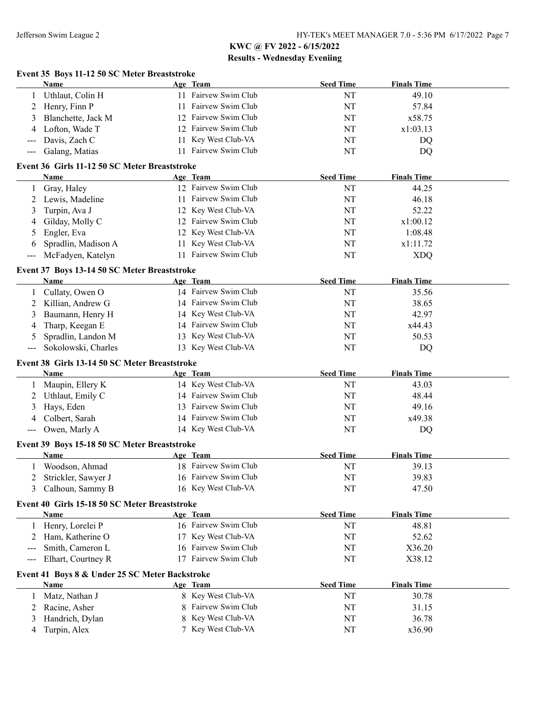|                            | Event 35 Boys 11-12 50 SC Meter Breaststroke   |                      |                  |                    |  |
|----------------------------|------------------------------------------------|----------------------|------------------|--------------------|--|
|                            | <b>Name</b>                                    | Age Team             | <b>Seed Time</b> | <b>Finals Time</b> |  |
| 1                          | Uthlaut, Colin H                               | 11 Fairvew Swim Club | NT               | 49.10              |  |
| 2                          | Henry, Finn P                                  | 11 Fairvew Swim Club | NT               | 57.84              |  |
| 3                          | Blanchette, Jack M                             | 12 Fairvew Swim Club | NT               | x58.75             |  |
| 4                          | Lofton, Wade T                                 | 12 Fairvew Swim Club | NT               | x1:03.13           |  |
| ---                        | Davis, Zach C                                  | 11 Key West Club-VA  | NT               | DQ                 |  |
| ---                        | Galang, Matias                                 | 11 Fairvew Swim Club | NT               | DQ                 |  |
|                            | Event 36 Girls 11-12 50 SC Meter Breaststroke  |                      |                  |                    |  |
|                            | <b>Name</b>                                    | Age Team             | <b>Seed Time</b> | <b>Finals Time</b> |  |
| 1                          | Gray, Haley                                    | 12 Fairvew Swim Club | NT               | 44.25              |  |
| 2                          | Lewis, Madeline                                | 11 Fairvew Swim Club | NT               | 46.18              |  |
| 3                          | Turpin, Ava J                                  | 12 Key West Club-VA  | NT               | 52.22              |  |
| 4                          | Gilday, Molly C                                | 12 Fairvew Swim Club | NT               | x1:00.12           |  |
| 5                          | Engler, Eva                                    | 12 Key West Club-VA  | NT               | 1:08.48            |  |
| 6                          | Spradlin, Madison A                            | 11 Key West Club-VA  | NT               | x1:11.72           |  |
| $---$                      | McFadyen, Katelyn                              | 11 Fairvew Swim Club | NT               | <b>XDQ</b>         |  |
|                            | Event 37 Boys 13-14 50 SC Meter Breaststroke   |                      |                  |                    |  |
|                            | Name                                           | Age Team             | <b>Seed Time</b> | <b>Finals Time</b> |  |
| 1                          | Cullaty, Owen O                                | 14 Fairvew Swim Club | NT               | 35.56              |  |
| 2                          | Killian, Andrew G                              | 14 Fairvew Swim Club | NT               | 38.65              |  |
| 3                          | Baumann, Henry H                               | 14 Key West Club-VA  | NT               | 42.97              |  |
| 4                          | Tharp, Keegan E                                | 14 Fairvew Swim Club | NT               | x44.43             |  |
| 5                          | Spradlin, Landon M                             | 13 Key West Club-VA  | NT               | 50.53              |  |
| ---                        | Sokolowski, Charles                            | 13 Key West Club-VA  | NT               | DQ                 |  |
|                            | Event 38 Girls 13-14 50 SC Meter Breaststroke  |                      |                  |                    |  |
|                            | Name                                           | Age Team             | <b>Seed Time</b> | <b>Finals Time</b> |  |
| 1                          | Maupin, Ellery K                               | 14 Key West Club-VA  | NT               | 43.03              |  |
| 2                          | Uthlaut, Emily C                               | 14 Fairvew Swim Club | NT               | 48.44              |  |
| 3                          | Hays, Eden                                     | 13 Fairvew Swim Club | NT               | 49.16              |  |
| 4                          | Colbert, Sarah                                 | 14 Fairvew Swim Club | NT               | x49.38             |  |
| $\qquad \qquad - \qquad -$ | Owen, Marly A                                  | 14 Key West Club-VA  | NT               | DQ                 |  |
|                            | Event 39 Boys 15-18 50 SC Meter Breaststroke   |                      |                  |                    |  |
|                            | Name                                           | Age Team             | <b>Seed Time</b> | <b>Finals Time</b> |  |
|                            | Woodson, Ahmad                                 | 18 Fairvew Swim Club | NT               | 39.13              |  |
| 2                          | Strickler, Sawyer J                            | 16 Fairvew Swim Club | NT               | 39.83              |  |
| 3                          | Calhoun, Sammy B                               | 16 Key West Club-VA  | NT               | 47.50              |  |
|                            | Event 40 Girls 15-18 50 SC Meter Breaststroke  |                      |                  |                    |  |
|                            | Name                                           | Age Team             | <b>Seed Time</b> | <b>Finals Time</b> |  |
|                            | Henry, Lorelei P                               | 16 Fairvew Swim Club | NT               | 48.81              |  |
| 2                          | Ham, Katherine O                               | 17 Key West Club-VA  | NT               | 52.62              |  |
| ---                        | Smith, Cameron L                               | 16 Fairvew Swim Club | NT               | X36.20             |  |
| ---                        | Elhart, Courtney R                             | 17 Fairvew Swim Club | NT               | X38.12             |  |
|                            | Event 41 Boys 8 & Under 25 SC Meter Backstroke |                      |                  |                    |  |
|                            | Name                                           | Age Team             | <b>Seed Time</b> | <b>Finals Time</b> |  |
| 1                          | Matz, Nathan J                                 | 8 Key West Club-VA   | NT               | 30.78              |  |
| 2                          | Racine, Asher                                  | Fairvew Swim Club    | NT               | 31.15              |  |
| 3                          | Handrich, Dylan                                | Key West Club-VA     | NT               | 36.78              |  |
| 4                          | Turpin, Alex                                   | Key West Club-VA     | NT               | x36.90             |  |
|                            |                                                |                      |                  |                    |  |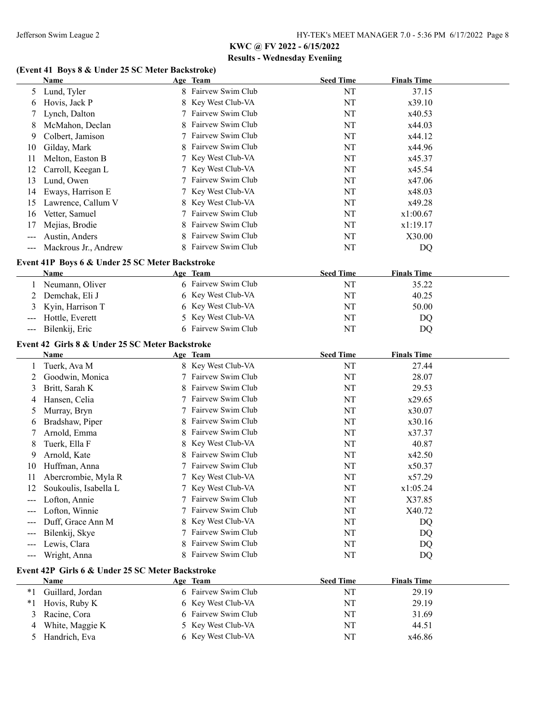### **(Event 41 Boys 8 & Under 25 SC Meter Backstroke)**

|                                          | <b>Name</b>                                      |    | Age Team            | <b>Seed Time</b> | <b>Finals Time</b> |  |
|------------------------------------------|--------------------------------------------------|----|---------------------|------------------|--------------------|--|
| 5                                        | Lund, Tyler                                      |    | 8 Fairvew Swim Club | NT               | 37.15              |  |
| 6                                        | Hovis, Jack P                                    |    | Key West Club-VA    | NT               | x39.10             |  |
|                                          | Lynch, Dalton                                    |    | Fairvew Swim Club   | NT               | x40.53             |  |
| 8                                        | McMahon, Declan                                  |    | Fairvew Swim Club   | NT               | x44.03             |  |
| 9                                        | Colbert, Jamison                                 |    | Fairvew Swim Club   | NT               | x44.12             |  |
| 10                                       | Gilday, Mark                                     |    | Fairvew Swim Club   | NT               | x44.96             |  |
| 11                                       | Melton, Easton B                                 |    | Key West Club-VA    | NT               | x45.37             |  |
| 12                                       | Carroll, Keegan L                                |    | Key West Club-VA    | NT               | x45.54             |  |
| 13                                       | Lund, Owen                                       |    | Fairvew Swim Club   | NT               | x47.06             |  |
| 14                                       | Eways, Harrison E                                |    | Key West Club-VA    | NT               | x48.03             |  |
| 15                                       | Lawrence, Callum V                               |    | Key West Club-VA    | NT               | x49.28             |  |
| 16                                       | Vetter, Samuel                                   |    | Fairvew Swim Club   | NT               | x1:00.67           |  |
| 17                                       | Mejias, Brodie                                   |    | Fairvew Swim Club   | NT               | x1:19.17           |  |
| $---$                                    | Austin, Anders                                   | 8  | Fairvew Swim Club   | NT               | X30.00             |  |
| $\hspace{0.05cm} \ldots \hspace{0.05cm}$ | Mackrous Jr., Andrew                             |    | 8 Fairvew Swim Club | NT               | DQ                 |  |
|                                          | Event 41P Boys 6 & Under 25 SC Meter Backstroke  |    |                     |                  |                    |  |
|                                          | Name                                             |    | Age Team            | <b>Seed Time</b> | <b>Finals Time</b> |  |
|                                          | Neumann, Oliver                                  |    | 6 Fairvew Swim Club | NT               | 35.22              |  |
| 2                                        | Demchak, Eli J                                   |    | 6 Key West Club-VA  | NT               | 40.25              |  |
|                                          | Kyin, Harrison T                                 |    | 6 Key West Club-VA  | NT               | 50.00              |  |
|                                          | Hottle, Everett                                  |    | 5 Key West Club-VA  | NT               | DQ                 |  |
| $\hspace{0.05cm} \ldots \hspace{0.05cm}$ | Bilenkij, Eric                                   |    | 6 Fairvew Swim Club | NT               | DQ                 |  |
|                                          | Event 42 Girls 8 & Under 25 SC Meter Backstroke  |    |                     |                  |                    |  |
|                                          | Name                                             |    | Age Team            | <b>Seed Time</b> | <b>Finals Time</b> |  |
|                                          | Tuerk, Ava M                                     |    | 8 Key West Club-VA  | NT               | 27.44              |  |
| 2                                        | Goodwin, Monica                                  |    | Fairvew Swim Club   | NT               | 28.07              |  |
| 3                                        | Britt, Sarah K                                   |    | Fairvew Swim Club   | NT               | 29.53              |  |
| 4                                        | Hansen, Celia                                    |    | Fairvew Swim Club   | NT               | x29.65             |  |
| 5                                        | Murray, Bryn                                     |    | Fairvew Swim Club   | NT               | x30.07             |  |
| 6                                        | Bradshaw, Piper                                  |    | Fairvew Swim Club   | NT               | x30.16             |  |
| 7                                        | Arnold, Emma                                     | 8  | Fairvew Swim Club   | NT               | x37.37             |  |
| 8                                        | Tuerk, Ella F                                    |    | 8 Key West Club-VA  | NT               | 40.87              |  |
| 9                                        | Arnold, Kate                                     | 8  | Fairvew Swim Club   | NT               | x42.50             |  |
| 10                                       | Huffman, Anna                                    |    | Fairvew Swim Club   | NT               | x50.37             |  |
| 11                                       | Abercrombie, Myla R                              |    | 7 Key West Club-VA  | NT               | x57.29             |  |
| 12                                       | Soukoulis, Isabella L                            |    | 7 Key West Club-VA  | NT               | x1:05.24           |  |
|                                          | Lofton, Annie                                    |    | 7 Fairvew Swim Club | NT               | X37.85             |  |
|                                          | Lofton, Winnie                                   | 7  | Fairvew Swim Club   | NT               | X40.72             |  |
|                                          | Duff, Grace Ann M                                | 8  | Key West Club-VA    | NT               | DQ                 |  |
| $---$                                    | Bilenkij, Skye                                   | 7  | Fairvew Swim Club   | NT               | DQ                 |  |
| $---$                                    | Lewis, Clara                                     | 8  | Fairvew Swim Club   | NT               | DQ                 |  |
| $---$                                    | Wright, Anna                                     | 8  | Fairvew Swim Club   | NT               | DQ                 |  |
|                                          | Event 42P Girls 6 & Under 25 SC Meter Backstroke |    |                     |                  |                    |  |
|                                          | Name                                             |    | Age Team            | <b>Seed Time</b> | <b>Finals Time</b> |  |
| $*_{1}$                                  | Guillard, Jordan                                 |    | 6 Fairvew Swim Club | NT               | 29.19              |  |
| $*1$                                     | Hovis, Ruby K                                    |    | 6 Key West Club-VA  | NT               | 29.19              |  |
| 3                                        | Racine, Cora                                     |    | 6 Fairvew Swim Club | NT               | 31.69              |  |
| 4                                        | White, Maggie K                                  | 5. | Key West Club-VA    | NT               | 44.51              |  |
| 5                                        | Handrich, Eva                                    |    | 6 Key West Club-VA  | NT               | x46.86             |  |
|                                          |                                                  |    |                     |                  |                    |  |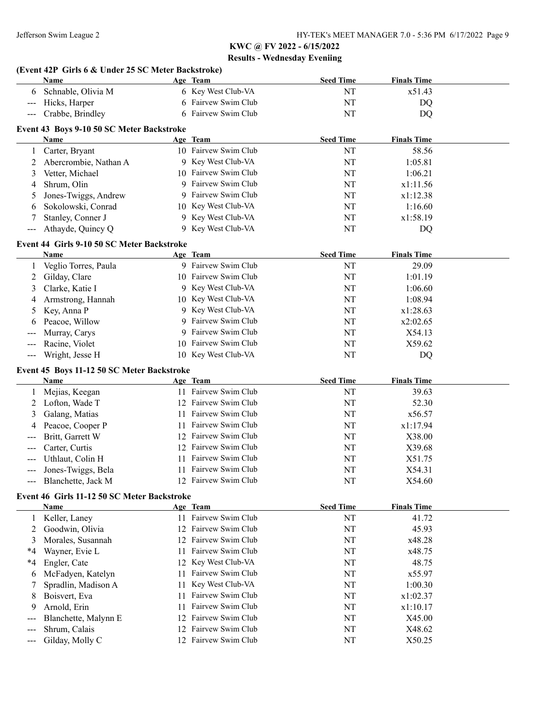|                   | (Event 42P Girls 6 & Under 25 SC Meter Backstroke)<br>Name |    | Age Team             | <b>Seed Time</b> | <b>Finals Time</b> |  |
|-------------------|------------------------------------------------------------|----|----------------------|------------------|--------------------|--|
| 6                 | Schnable, Olivia M                                         |    | 6 Key West Club-VA   | NT               | x51.43             |  |
| $---$             | Hicks, Harper                                              |    | 6 Fairvew Swim Club  | NT               | DQ                 |  |
| $---$             | Crabbe, Brindley                                           |    | 6 Fairvew Swim Club  | NT               | DQ                 |  |
|                   |                                                            |    |                      |                  |                    |  |
|                   | Event 43 Boys 9-10 50 SC Meter Backstroke                  |    |                      |                  |                    |  |
|                   | Name                                                       |    | Age Team             | <b>Seed Time</b> | <b>Finals Time</b> |  |
| $\mathbf{1}$      | Carter, Bryant                                             |    | 10 Fairvew Swim Club | NT               | 58.56              |  |
| 2                 | Abercrombie, Nathan A                                      |    | 9 Key West Club-VA   | NT               | 1:05.81            |  |
| 3                 | Vetter, Michael                                            |    | 10 Fairvew Swim Club | NT               | 1:06.21            |  |
| 4                 | Shrum, Olin                                                | 9  | Fairvew Swim Club    | NT               | x1:11.56           |  |
| 5                 | Jones-Twiggs, Andrew                                       | 9  | Fairvew Swim Club    | NT               | x1:12.38           |  |
| 6                 | Sokolowski, Conrad                                         |    | 10 Key West Club-VA  | NT               | 1:16.60            |  |
| 7                 | Stanley, Conner J                                          | 9  | Key West Club-VA     | NT               | x1:58.19           |  |
| ---               | Athayde, Quincy Q                                          |    | 9 Key West Club-VA   | NT               | DQ                 |  |
|                   | Event 44 Girls 9-10 50 SC Meter Backstroke                 |    |                      |                  |                    |  |
|                   | Name                                                       |    | Age Team             | <b>Seed Time</b> | <b>Finals Time</b> |  |
| 1                 | Veglio Torres, Paula                                       |    | 9 Fairvew Swim Club  | NT               | 29.09              |  |
| 2                 | Gilday, Clare                                              |    | 10 Fairvew Swim Club | NT               | 1:01.19            |  |
| 3                 | Clarke, Katie I                                            |    | 9 Key West Club-VA   | NT               | 1:06.60            |  |
| 4                 | Armstrong, Hannah                                          |    | 10 Key West Club-VA  | NT               | 1:08.94            |  |
| 5                 | Key, Anna P                                                |    | Key West Club-VA     | NT               | x1:28.63           |  |
| 6                 | Peacoe, Willow                                             |    | Fairvew Swim Club    | NT               | x2:02.65           |  |
|                   | Murray, Carys                                              |    | Fairvew Swim Club    | NT               | X54.13             |  |
| $---$             | Racine, Violet                                             |    | 10 Fairvew Swim Club | NT               | X59.62             |  |
| $---$             | Wright, Jesse H                                            |    | 10 Key West Club-VA  | NT               | DQ                 |  |
|                   | Event 45 Boys 11-12 50 SC Meter Backstroke                 |    |                      |                  |                    |  |
|                   | Name                                                       |    | Age Team             | <b>Seed Time</b> | <b>Finals Time</b> |  |
| 1                 | Mejias, Keegan                                             |    | 11 Fairvew Swim Club | NT               | 39.63              |  |
| 2                 | Lofton, Wade T                                             | 12 | Fairvew Swim Club    | NT               | 52.30              |  |
| 3                 | Galang, Matias                                             | 11 | Fairvew Swim Club    | NT               | x56.57             |  |
| 4                 | Peacoe, Cooper P                                           | 11 | Fairvew Swim Club    | NT               | x1:17.94           |  |
|                   | Britt, Garrett W                                           | 12 | Fairvew Swim Club    | NT               | X38.00             |  |
|                   | Carter, Curtis                                             | 12 | Fairvew Swim Club    | NT               | X39.68             |  |
|                   | Uthlaut, Colin H                                           | 11 | Fairvew Swim Club    | NT               | X51.75             |  |
| ---               | Jones-Twiggs, Bela                                         |    | 11 Fairvew Swim Club | NT               | X54.31             |  |
| $\qquad \qquad -$ | Blanchette, Jack M                                         |    | 12 Fairvew Swim Club | NT               | X54.60             |  |
|                   |                                                            |    |                      |                  |                    |  |
|                   | Event 46 Girls 11-12 50 SC Meter Backstroke                |    |                      |                  |                    |  |
|                   | <b>Name</b>                                                |    | Age Team             | <b>Seed Time</b> | <b>Finals Time</b> |  |
| 1                 | Keller, Laney                                              |    | 11 Fairvew Swim Club | NT               | 41.72              |  |
| 2                 | Goodwin, Olivia                                            | 12 | Fairvew Swim Club    | NT               | 45.93              |  |
| 3                 | Morales, Susannah                                          |    | 12 Fairvew Swim Club | NT               | x48.28             |  |
| *4                | Wayner, Evie L                                             | 11 | Fairvew Swim Club    | NT               | x48.75             |  |
| $*4$              | Engler, Cate                                               | 12 | Key West Club-VA     | NT               | 48.75              |  |
| 6                 | McFadyen, Katelyn                                          | 11 | Fairvew Swim Club    | NT               | x55.97             |  |
| 7                 | Spradlin, Madison A                                        | 11 | Key West Club-VA     | NT               | 1:00.30            |  |
| 8                 | Boisvert, Eva                                              | 11 | Fairvew Swim Club    | NT               | x1:02.37           |  |
| 9                 | Arnold, Erin                                               | 11 | Fairvew Swim Club    | NT               | x1:10.17           |  |
| ---               | Blanchette, Malynn E                                       | 12 | Fairvew Swim Club    | NT               | X45.00             |  |
|                   | Shrum, Calais                                              | 12 | Fairvew Swim Club    | NT               | X48.62             |  |
|                   | Gilday, Molly C                                            |    | 12 Fairvew Swim Club | NT               | X50.25             |  |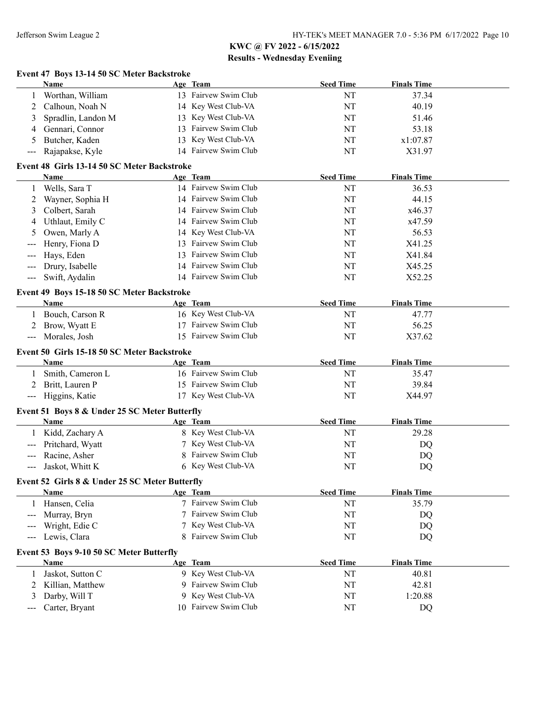|                                          | Event 47 Boys 13-14 50 SC Meter Backstroke          |    |                      |                  |                    |  |
|------------------------------------------|-----------------------------------------------------|----|----------------------|------------------|--------------------|--|
|                                          | Name                                                |    | Age Team             | <b>Seed Time</b> | <b>Finals Time</b> |  |
|                                          | Worthan, William                                    |    | 13 Fairvew Swim Club | NT               | 37.34              |  |
| 2                                        | Calhoun, Noah N                                     |    | 14 Key West Club-VA  | <b>NT</b>        | 40.19              |  |
| 3                                        | Spradlin, Landon M                                  | 13 | Key West Club-VA     | NT               | 51.46              |  |
| 4                                        | Gennari, Connor                                     |    | Fairvew Swim Club    | NT               | 53.18              |  |
| 5                                        | Butcher, Kaden                                      | 13 | Key West Club-VA     | NT               | x1:07.87           |  |
| $\qquad \qquad -$                        | Rajapakse, Kyle                                     |    | 14 Fairvew Swim Club | NT               | X31.97             |  |
|                                          | Event 48 Girls 13-14 50 SC Meter Backstroke         |    |                      |                  |                    |  |
|                                          | Name                                                |    | Age Team             | <b>Seed Time</b> | <b>Finals Time</b> |  |
| 1                                        | Wells, Sara T                                       |    | 14 Fairvew Swim Club | NT               | 36.53              |  |
| 2                                        | Wayner, Sophia H                                    |    | 14 Fairvew Swim Club | NT               | 44.15              |  |
| 3                                        | Colbert, Sarah                                      |    | 14 Fairvew Swim Club | NT               | x46.37             |  |
| 4                                        | Uthlaut, Emily C                                    |    | 14 Fairvew Swim Club | NT               | x47.59             |  |
| 5                                        | Owen, Marly A                                       |    | 14 Key West Club-VA  | NT               | 56.53              |  |
|                                          | Henry, Fiona D                                      |    | Fairvew Swim Club    | NT               | X41.25             |  |
|                                          | Hays, Eden                                          | 13 | Fairvew Swim Club    | NT               | X41.84             |  |
|                                          | Drury, Isabelle                                     | 14 | Fairvew Swim Club    | NT               | X45.25             |  |
| $---$                                    | Swift, Aydalin                                      |    | 14 Fairvew Swim Club | NT               | X52.25             |  |
|                                          | Event 49 Boys 15-18 50 SC Meter Backstroke          |    |                      |                  |                    |  |
|                                          | Name                                                |    | Age Team             | <b>Seed Time</b> | <b>Finals Time</b> |  |
|                                          | Bouch, Carson R                                     |    | 16 Key West Club-VA  | NT               | 47.77              |  |
| 2                                        | Brow, Wyatt E                                       |    | 17 Fairvew Swim Club | <b>NT</b>        | 56.25              |  |
| $\qquad \qquad - \qquad -$               | Morales, Josh                                       |    | 15 Fairvew Swim Club | NT               | X37.62             |  |
|                                          | Event 50 Girls 15-18 50 SC Meter Backstroke<br>Name |    | Age Team             | <b>Seed Time</b> | <b>Finals Time</b> |  |
| 1                                        | Smith, Cameron L                                    |    | 16 Fairvew Swim Club | <b>NT</b>        | 35.47              |  |
| 2                                        | Britt, Lauren P                                     |    | 15 Fairvew Swim Club | <b>NT</b>        | 39.84              |  |
|                                          | Higgins, Katie                                      |    | 17 Key West Club-VA  | NT               | X44.97             |  |
|                                          | Event 51 Boys 8 & Under 25 SC Meter Butterfly       |    |                      |                  |                    |  |
|                                          | Name                                                |    | Age Team             | <b>Seed Time</b> | <b>Finals Time</b> |  |
|                                          | Kidd, Zachary A                                     |    | 8 Key West Club-VA   | NT               | 29.28              |  |
|                                          | Pritchard, Wyatt                                    |    | Key West Club-VA     | NT               | DQ                 |  |
|                                          | Racine, Asher                                       |    | Fairvew Swim Club    | NT               | DQ                 |  |
|                                          | Jaskot, Whitt K                                     |    | 6 Key West Club-VA   | NT               | DQ                 |  |
|                                          | Event 52 Girls 8 & Under 25 SC Meter Butterfly      |    |                      |                  |                    |  |
|                                          | Name                                                |    | Age Team             | <b>Seed Time</b> | <b>Finals Time</b> |  |
|                                          | 1 Hansen, Celia                                     |    | 7 Fairvew Swim Club  | NT               | 35.79              |  |
| $---$                                    | Murray, Bryn                                        |    | 7 Fairvew Swim Club  | NT               | DQ                 |  |
| $---$                                    | Wright, Edie C                                      |    | Key West Club-VA     | NT               | DQ                 |  |
|                                          | Lewis, Clara                                        | 8  | Fairvew Swim Club    | NT               | DQ                 |  |
|                                          | Event 53 Boys 9-10 50 SC Meter Butterfly            |    |                      |                  |                    |  |
|                                          | <b>Name</b>                                         |    | Age Team             | <b>Seed Time</b> | <b>Finals Time</b> |  |
| 1                                        | Jaskot, Sutton C                                    |    | 9 Key West Club-VA   | NT               | 40.81              |  |
| 2                                        | Killian, Matthew                                    |    | 9 Fairvew Swim Club  | NT               | 42.81              |  |
| 3                                        | Darby, Will T                                       |    | Key West Club-VA     | NT               | 1:20.88            |  |
| $\hspace{0.05cm} \ldots \hspace{0.05cm}$ | Carter, Bryant                                      |    | 10 Fairvew Swim Club | NT               | DQ                 |  |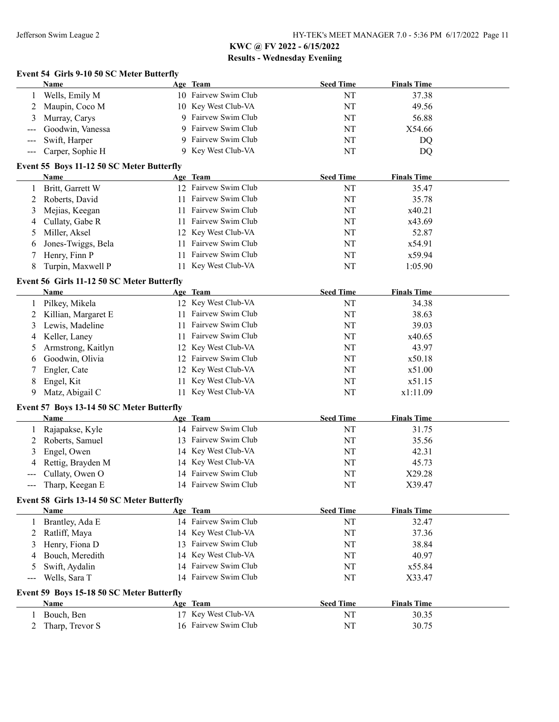## **Event 54 Girls 9-10 50 SC Meter Butterfly**

| Name                 |  | <b>Seed Time</b>                                                                                                                                   | <b>Finals Time</b> |
|----------------------|--|----------------------------------------------------------------------------------------------------------------------------------------------------|--------------------|
| Wells, Emily M       |  | NT                                                                                                                                                 | 37.38              |
| 2 Maupin, Coco M     |  | NT                                                                                                                                                 | 49.56              |
| 3 Murray, Carys      |  | NT                                                                                                                                                 | 56.88              |
| --- Goodwin, Vanessa |  | NT                                                                                                                                                 | X54.66             |
| --- Swift, Harper    |  | NT                                                                                                                                                 | DQ                 |
| --- Carper, Sophie H |  | NT                                                                                                                                                 | DQ                 |
|                      |  | Age Team<br>10 Fairvew Swim Club<br>10 Key West Club-VA<br>9 Fairvew Swim Club<br>9 Fairvew Swim Club<br>9 Fairvew Swim Club<br>9 Key West Club-VA |                    |

#### **Event 55 Boys 11-12 50 SC Meter Butterfly**

|    | Name                 |     | Age Team             | <b>Seed Time</b> | <b>Finals Time</b> |
|----|----------------------|-----|----------------------|------------------|--------------------|
|    | Britt, Garrett W     |     | 12 Fairvew Swim Club | NT               | 35.47              |
|    | 2 Roberts, David     | 11. | Fairvew Swim Club    | NT               | 35.78              |
|    | 3 Mejias, Keegan     |     | 11 Fairvew Swim Club | NT               | x40.21             |
|    | 4 Cullaty, Gabe R    | 11. | Fairvew Swim Club    | NT               | x43.69             |
|    | 5 Miller, Aksel      |     | 12 Key West Club-VA  | NT               | 52.87              |
|    | 6 Jones-Twiggs, Bela | 11. | Fairvew Swim Club    | NT               | x54.91             |
|    | 7 Henry, Finn P      | 11. | Fairvew Swim Club    | NT               | x59.94             |
| 8. | Turpin, Maxwell P    | 11  | Key West Club-VA     | NT               | 1:05.90            |

#### **Event 56 Girls 11-12 50 SC Meter Butterfly**

|                            | EVENT 50 THIS 11-12 50 BC MERT DURING      |     |                      |                  |                    |  |
|----------------------------|--------------------------------------------|-----|----------------------|------------------|--------------------|--|
|                            | Name                                       |     | Age Team             | <b>Seed Time</b> | <b>Finals Time</b> |  |
|                            | Pilkey, Mikela                             |     | 12 Key West Club-VA  | NT               | 34.38              |  |
|                            | Killian, Margaret E                        | 11  | Fairvew Swim Club    | NT               | 38.63              |  |
| 3                          | Lewis, Madeline                            | 11  | Fairvew Swim Club    | NT               | 39.03              |  |
| 4                          | Keller, Laney                              | 11. | Fairvew Swim Club    | NT               | x40.65             |  |
| 5                          | Armstrong, Kaitlyn                         | 12  | Key West Club-VA     | NT               | 43.97              |  |
| b                          | Goodwin, Olivia                            | 12. | Fairvew Swim Club    | NT               | x50.18             |  |
|                            | Engler, Cate                               | 12  | Key West Club-VA     | NT               | x51.00             |  |
| 8                          | Engel, Kit                                 |     | Key West Club-VA     | NT               | x51.15             |  |
| 9                          | Matz, Abigail C                            | 11. | Key West Club-VA     | NT               | x1:11.09           |  |
|                            | Event 57 Boys 13-14 50 SC Meter Butterfly  |     |                      |                  |                    |  |
|                            | <b>Name</b>                                |     | Age Team             | <b>Seed Time</b> | <b>Finals Time</b> |  |
|                            | Rajapakse, Kyle                            |     | 14 Fairvew Swim Club | NT               | 31.75              |  |
|                            | Roberts, Samuel                            | 13  | Fairvew Swim Club    | NT               | 35.56              |  |
| 3                          | Engel, Owen                                |     | 14 Key West Club-VA  | NT               | 42.31              |  |
|                            | Rettig, Brayden M                          |     | 14 Key West Club-VA  | NT               | 45.73              |  |
| $---$                      | Cullaty, Owen O                            |     | 14 Fairvew Swim Club | NT               | X29.28             |  |
| $\qquad \qquad \text{---}$ | Tharp, Keegan E                            | 14  | Fairvew Swim Club    | NT               | X39.47             |  |
|                            | Event 58 Girls 13-14 50 SC Meter Butterfly |     |                      |                  |                    |  |
|                            | Name                                       |     | Age Team             | <b>Seed Time</b> | <b>Finals Time</b> |  |
|                            | Brantley, Ada E                            |     | 14 Fairvew Swim Club | NT               | 32.47              |  |

| Brantiey, Aga E                           | 14 Fairvew Swim Club | ΝI               | 32.47              |  |
|-------------------------------------------|----------------------|------------------|--------------------|--|
| 2 Ratliff, Maya                           | 14 Key West Club-VA  | NT               | 37.36              |  |
| 3 Henry, Fiona D                          | 13 Fairvew Swim Club | NT               | 38.84              |  |
| 4 Bouch, Meredith                         | 14 Key West Club-VA  | NT               | 40.97              |  |
| 5 Swift, Aydalin                          | 14 Fairvew Swim Club | NT               | x55.84             |  |
| --- Wells, Sara T                         | 14 Fairvew Swim Club | NT               | X33.47             |  |
| Event 59 Boys 15-18 50 SC Meter Butterfly |                      |                  |                    |  |
| <b>Name</b>                               | Age Team             | <b>Seed Time</b> | <b>Finals Time</b> |  |
| Bouch, Ben                                | 17 Key West Club-VA  | NT               | 30.35              |  |

2 Tharp, Trevor S 16 Fairvew Swim Club NT 30.75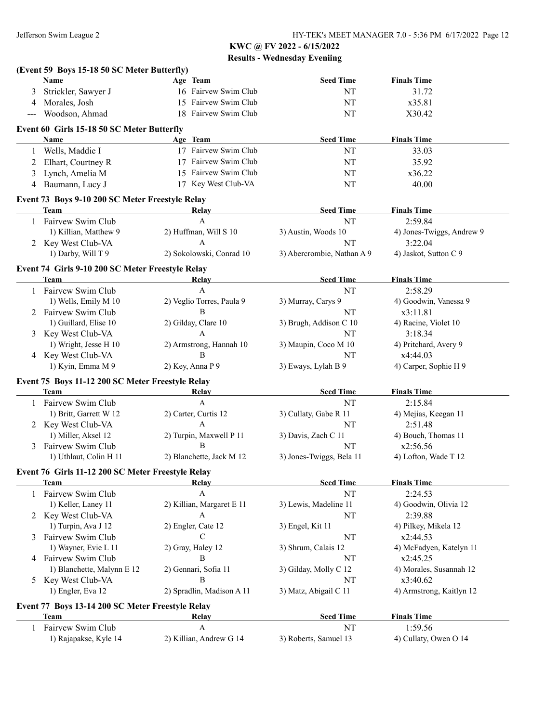|     | (Event 59 Boys 15-18 50 SC Meter Butterfly)<br>Name | Age Team                  | <b>Seed Time</b>           | <b>Finals Time</b>        |
|-----|-----------------------------------------------------|---------------------------|----------------------------|---------------------------|
| 3   | Strickler, Sawyer J                                 | 16 Fairvew Swim Club      | NT                         | 31.72                     |
| 4   | Morales, Josh                                       | 15 Fairvew Swim Club      | NT                         | x35.81                    |
| --- | Woodson, Ahmad                                      | 18 Fairvew Swim Club      | NT                         | X30.42                    |
|     | Event 60 Girls 15-18 50 SC Meter Butterfly          |                           |                            |                           |
|     | Name                                                | Age Team                  | <b>Seed Time</b>           | <b>Finals Time</b>        |
| 1   | Wells, Maddie I                                     | 17 Fairvew Swim Club      | NT                         | 33.03                     |
| 2   | Elhart, Courtney R                                  | 17 Fairvew Swim Club      | NT                         | 35.92                     |
| 3   | Lynch, Amelia M                                     | 15 Fairvew Swim Club      | NT                         | x36.22                    |
| 4   | Baumann, Lucy J                                     | 17 Key West Club-VA       | NT                         | 40.00                     |
|     | Event 73 Boys 9-10 200 SC Meter Freestyle Relay     |                           |                            |                           |
|     | <b>Team</b>                                         | Relay                     | <b>Seed Time</b>           | <b>Finals Time</b>        |
|     | 1 Fairvew Swim Club                                 | A                         | NT                         | 2:59.84                   |
|     | 1) Killian, Matthew 9                               | 2) Huffman, Will S 10     | 3) Austin, Woods 10        | 4) Jones-Twiggs, Andrew 9 |
|     | 2 Key West Club-VA                                  | $\mathbf{A}$              | NT                         | 3:22.04                   |
|     | 1) Darby, Will T 9                                  | 2) Sokolowski, Conrad 10  | 3) Abercrombie, Nathan A 9 | 4) Jaskot, Sutton C 9     |
|     | Event 74 Girls 9-10 200 SC Meter Freestyle Relay    |                           |                            |                           |
|     | <b>Team</b>                                         | Relay                     | <b>Seed Time</b>           | <b>Finals Time</b>        |
|     | 1 Fairvew Swim Club                                 | $\mathbf{A}$              | NT                         | 2:58.29                   |
|     | 1) Wells, Emily M 10                                | 2) Veglio Torres, Paula 9 | 3) Murray, Carys 9         | 4) Goodwin, Vanessa 9     |
|     | 2 Fairvew Swim Club                                 | B                         | NT                         | x3:11.81                  |
|     | 1) Guillard, Elise 10                               | 2) Gilday, Clare 10       | 3) Brugh, Addison C 10     | 4) Racine, Violet 10      |
|     | 3 Key West Club-VA                                  | $\mathbf{A}$              | NT                         | 3:18.34                   |
|     | 1) Wright, Jesse H 10                               | 2) Armstrong, Hannah 10   | 3) Maupin, Coco M 10       | 4) Pritchard, Avery 9     |
|     | 4 Key West Club-VA                                  | B                         | NT                         | x4:44.03                  |
|     | 1) Kyin, Emma M 9                                   | 2) Key, Anna P 9          | 3) Eways, Lylah B 9        | 4) Carper, Sophie H 9     |
|     | Event 75 Boys 11-12 200 SC Meter Freestyle Relay    |                           |                            |                           |
|     | Team                                                | Relay                     | <b>Seed Time</b>           | <b>Finals Time</b>        |
|     | Fairvew Swim Club                                   | $\mathbf{A}$              | NT                         | 2:15.84                   |
|     | 1) Britt, Garrett W 12                              | 2) Carter, Curtis 12      | 3) Cullaty, Gabe R 11      | 4) Mejias, Keegan 11      |
|     | 2 Key West Club-VA                                  | A                         | NT                         | 2:51.48                   |
|     | 1) Miller, Aksel 12                                 | 2) Turpin, Maxwell P 11   | 3) Davis, Zach C 11        | 4) Bouch, Thomas 11       |
|     | 3 Fairvew Swim Club                                 | B                         | NT                         | x2:56.56                  |
|     | 1) Uthlaut, Colin H 11                              | 2) Blanchette, Jack M 12  | 3) Jones-Twiggs, Bela 11   | 4) Lofton, Wade T 12      |
|     | Event 76 Girls 11-12 200 SC Meter Freestyle Relay   |                           |                            |                           |
|     | <b>Team</b>                                         | <b>Relay</b>              | <b>Seed Time</b>           | <b>Finals Time</b>        |
|     | 1 Fairvew Swim Club                                 | $\mathbf{A}$              | NT                         | 2:24.53                   |
|     | 1) Keller, Laney 11                                 | 2) Killian, Margaret E 11 | 3) Lewis, Madeline 11      | 4) Goodwin, Olivia 12     |
|     | 2 Key West Club-VA                                  | $\mathbf{A}$              | NT                         | 2:39.88                   |
|     | 1) Turpin, Ava J 12                                 | 2) Engler, Cate 12        | 3) Engel, Kit 11           | 4) Pilkey, Mikela 12      |
| 3   | Fairvew Swim Club                                   | C                         | NT                         | x2:44.53                  |
|     | 1) Wayner, Evie L 11                                | 2) Gray, Haley 12         | 3) Shrum, Calais 12        | 4) McFadyen, Katelyn 11   |
| 4   | Fairvew Swim Club                                   | B                         | NT                         | x2:45.25                  |
|     | 1) Blanchette, Malynn E 12                          | 2) Gennari, Sofia 11      | 3) Gilday, Molly C 12      | 4) Morales, Susannah 12   |
| 5   | Key West Club-VA                                    | B                         | NT                         | x3:40.62                  |
|     | 1) Engler, Eva 12                                   | 2) Spradlin, Madison A 11 | 3) Matz, Abigail C 11      | 4) Armstrong, Kaitlyn 12  |
|     | Event 77 Boys 13-14 200 SC Meter Freestyle Relay    |                           |                            |                           |
|     | Team                                                | <b>Relay</b>              | <b>Seed Time</b>           | <b>Finals Time</b>        |
|     | Fairvew Swim Club                                   | $\mathbf{A}$              | NT                         | 1:59.56                   |
|     |                                                     | 2) Killian, Andrew G 14   | 3) Roberts, Samuel 13      | 4) Cullaty, Owen O 14     |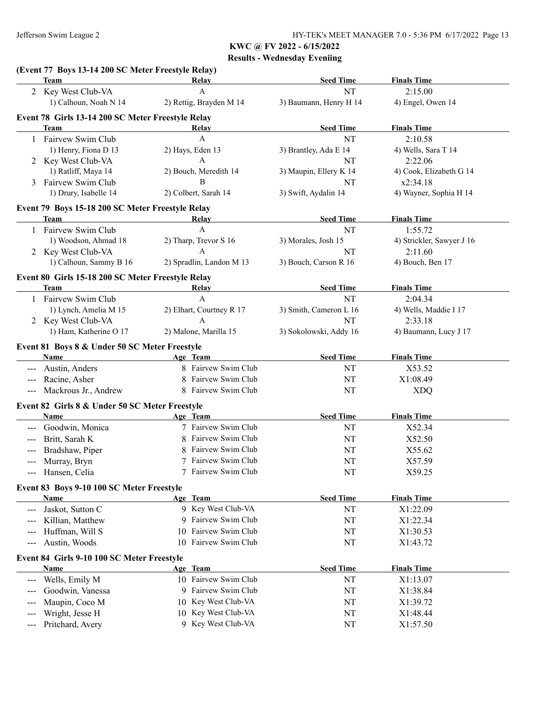|                     | (Event 77 Boys 13-14 200 SC Meter Freestyle Relay)<br><b>Team</b> | Relay                    | <b>Seed Time</b>       | <b>Finals Time</b>        |
|---------------------|-------------------------------------------------------------------|--------------------------|------------------------|---------------------------|
|                     | 2 Key West Club-VA                                                | $\mathbf{A}$             | NT                     | 2:15.00                   |
|                     | 1) Calhoun, Noah N 14                                             | 2) Rettig, Brayden M 14  | 3) Baumann, Henry H 14 | 4) Engel, Owen 14         |
|                     | Event 78 Girls 13-14 200 SC Meter Freestyle Relay                 |                          |                        |                           |
|                     | Team                                                              | Relay                    | <b>Seed Time</b>       | <b>Finals Time</b>        |
|                     | Fairvew Swim Club                                                 | A                        | NT                     | 2:10.58                   |
|                     | 1) Henry, Fiona D 13                                              | 2) Hays, Eden 13         | 3) Brantley, Ada E 14  | 4) Wells, Sara T 14       |
|                     | 2 Key West Club-VA                                                | A                        | NT                     | 2:22.06                   |
|                     | 1) Ratliff, Maya 14                                               | 2) Bouch, Meredith 14    | 3) Maupin, Ellery K 14 | 4) Cook, Elizabeth G 14   |
|                     | Fairvew Swim Club                                                 | B                        | NT                     | x2:34.18                  |
|                     | 1) Drury, Isabelle 14                                             | 2) Colbert, Sarah 14     | 3) Swift, Aydalin 14   | 4) Wayner, Sophia H 14    |
|                     |                                                                   |                          |                        |                           |
|                     | Event 79 Boys 15-18 200 SC Meter Freestyle Relay                  |                          |                        |                           |
|                     | <b>Team</b>                                                       | Relay<br>$\mathbf{A}$    | <b>Seed Time</b>       | <b>Finals Time</b>        |
|                     | 1 Fairvew Swim Club                                               |                          | NT                     | 1:55.72                   |
|                     | 1) Woodson, Ahmad 18                                              | 2) Tharp, Trevor S 16    | 3) Morales, Josh 15    | 4) Strickler, Sawyer J 16 |
|                     | 2 Key West Club-VA                                                | A                        | NT                     | 2:11.60                   |
|                     | 1) Calhoun, Sammy B 16                                            | 2) Spradlin, Landon M 13 | 3) Bouch, Carson R 16  | 4) Bouch, Ben 17          |
|                     | Event 80 Girls 15-18 200 SC Meter Freestyle Relay                 |                          |                        |                           |
|                     | Team                                                              | Relay                    | <b>Seed Time</b>       | <b>Finals Time</b>        |
|                     | 1 Fairvew Swim Club                                               | A                        | NT                     | 2:04.34                   |
|                     | 1) Lynch, Amelia M 15                                             | 2) Elhart, Courtney R 17 | 3) Smith, Cameron L 16 | 4) Wells, Maddie I 17     |
| 2 Key West Club-VA  |                                                                   | A                        | NT                     | 2:33.18                   |
|                     | 1) Ham, Katherine O 17                                            | 2) Malone, Marilla 15    | 3) Sokolowski, Addy 16 | 4) Baumann, Lucy J 17     |
|                     | Event 81 Boys 8 & Under 50 SC Meter Freestyle                     |                          |                        |                           |
|                     | Name                                                              | Age Team                 | <b>Seed Time</b>       | <b>Finals Time</b>        |
|                     | Austin, Anders                                                    | 8 Fairvew Swim Club      | NT                     | X53.52                    |
| $---$               | Racine, Asher                                                     | Fairvew Swim Club<br>8   | NT                     | X1:08.49                  |
| ---                 | Mackrous Jr., Andrew                                              | 8 Fairvew Swim Club      | NT                     | <b>XDQ</b>                |
|                     | Event 82 Girls 8 & Under 50 SC Meter Freestyle                    |                          |                        |                           |
|                     | Name                                                              | Age Team                 | <b>Seed Time</b>       | <b>Finals Time</b>        |
| $---$               | Goodwin, Monica                                                   | 7 Fairvew Swim Club      | NT                     | X52.34                    |
|                     | Britt, Sarah K                                                    | Fairvew Swim Club        |                        |                           |
| $---$               | Bradshaw, Piper                                                   | Fairvew Swim Club<br>8   | NT<br>NT               | X52.50<br>X55.62          |
|                     | Murray, Bryn                                                      | Fairvew Swim Club        | NT                     |                           |
|                     |                                                                   | Fairvew Swim Club        | NT                     | X57.59                    |
| ---                 | Hansen, Celia                                                     |                          |                        | X59.25                    |
|                     | Event 83 Boys 9-10 100 SC Meter Freestyle                         |                          |                        |                           |
|                     | Name                                                              | Age Team                 | <b>Seed Time</b>       | <b>Finals Time</b>        |
| $\qquad \qquad - -$ | Jaskot, Sutton C                                                  | 9 Key West Club-VA       | NT                     | X1:22.09                  |
| $---$               | Killian, Matthew                                                  | 9 Fairvew Swim Club      | NT                     | X1:22.34                  |
| $---$               | Huffman, Will S                                                   | 10 Fairvew Swim Club     | NT                     | X1:30.53                  |
| $---$               | Austin, Woods                                                     | Fairvew Swim Club<br>10  | NT                     | X1:43.72                  |
|                     | Event 84 Girls 9-10 100 SC Meter Freestyle                        |                          |                        |                           |
|                     | Name                                                              | Age Team                 | <b>Seed Time</b>       | <b>Finals Time</b>        |
| ---                 | Wells, Emily M                                                    | 10 Fairvew Swim Club     | NT                     | X1:13.07                  |
| $---$               | Goodwin, Vanessa                                                  | 9 Fairvew Swim Club      | NT                     | X1:38.84                  |
|                     | Maupin, Coco M                                                    | 10 Key West Club-VA      | NT                     | X1:39.72                  |
|                     | Wright, Jesse H                                                   | Key West Club-VA<br>10   | NT                     | X1:48.44                  |
|                     | Pritchard, Avery                                                  | 9 Key West Club-VA       | NT                     | X1:57.50                  |
| ---                 |                                                                   |                          |                        |                           |